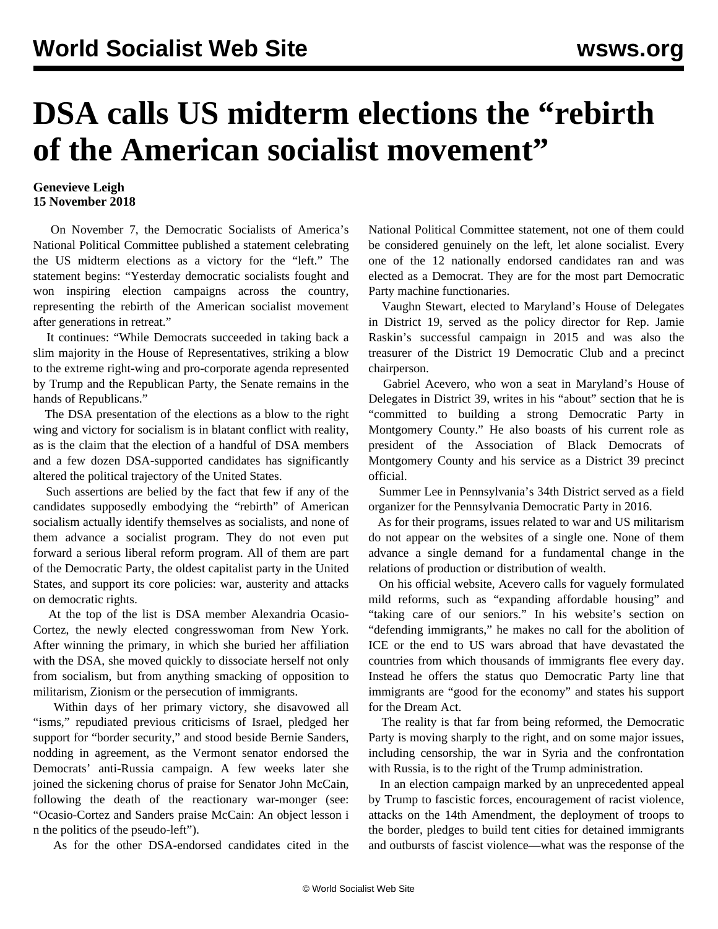## **DSA calls US midterm elections the "rebirth of the American socialist movement"**

## **Genevieve Leigh 15 November 2018**

 On November 7, the Democratic Socialists of America's National Political Committee published a statement celebrating the US midterm elections as a victory for the "left." The statement begins: "Yesterday democratic socialists fought and won inspiring election campaigns across the country, representing the rebirth of the American socialist movement after generations in retreat."

 It continues: "While Democrats succeeded in taking back a slim majority in the House of Representatives, striking a blow to the extreme right-wing and pro-corporate agenda represented by Trump and the Republican Party, the Senate remains in the hands of Republicans."

 The DSA presentation of the elections as a blow to the right wing and victory for socialism is in blatant conflict with reality, as is the claim that the election of a handful of DSA members and a few dozen DSA-supported candidates has significantly altered the political trajectory of the United States.

 Such assertions are belied by the fact that few if any of the candidates supposedly embodying the "rebirth" of American socialism actually identify themselves as socialists, and none of them advance a socialist program. They do not even put forward a serious liberal reform program. All of them are part of the Democratic Party, the oldest capitalist party in the United States, and support its core policies: war, austerity and attacks on democratic rights.

 At the top of the list is DSA member Alexandria Ocasio-Cortez, the newly elected congresswoman from New York. After winning the primary, in which she buried her affiliation with the DSA, she moved quickly to dissociate herself not only from socialism, but from anything smacking of opposition to militarism, Zionism or the persecution of immigrants.

 Within days of her primary victory, she disavowed all "isms," repudiated previous criticisms of Israel, pledged her support for "border security," and stood beside Bernie Sanders, nodding in agreement, as the Vermont senator endorsed the Democrats' anti-Russia campaign. A few weeks later she joined the sickening chorus of praise for Senator John McCain, following the death of the reactionary war-monger (see: ["Ocasio-Cortez and Sanders praise McCain: An object lesson i](/en/articles/2018/08/28/pers-a28.html) [n the politics of the pseudo-left](/en/articles/2018/08/28/pers-a28.html)").

As for the other DSA-endorsed candidates cited in the

National Political Committee statement, not one of them could be considered genuinely on the left, let alone socialist. Every one of the 12 nationally endorsed candidates ran and was elected as a Democrat. They are for the most part Democratic Party machine functionaries.

 Vaughn Stewart, elected to Maryland's House of Delegates in District 19, served as the policy director for Rep. Jamie Raskin's successful campaign in 2015 and was also the treasurer of the District 19 Democratic Club and a precinct chairperson.

 Gabriel Acevero, who won a seat in Maryland's House of Delegates in District 39, writes in his "about" section that he is "committed to building a strong Democratic Party in Montgomery County." He also boasts of his current role as president of the Association of Black Democrats of Montgomery County and his service as a District 39 precinct official.

 Summer Lee in Pennsylvania's 34th District served as a field organizer for the Pennsylvania Democratic Party in 2016.

 As for their programs, issues related to war and US militarism do not appear on the websites of a single one. None of them advance a single demand for a fundamental change in the relations of production or distribution of wealth.

 On his official website, Acevero calls for vaguely formulated mild reforms, such as "expanding affordable housing" and "taking care of our seniors." In his website's section on "defending immigrants," he makes no call for the abolition of ICE or the end to US wars abroad that have devastated the countries from which thousands of immigrants flee every day. Instead he offers the status quo Democratic Party line that immigrants are "good for the economy" and states his support for the Dream Act.

 The reality is that far from being reformed, the Democratic Party is moving sharply to the right, and on some major issues, including censorship, the war in Syria and the confrontation with Russia, is to the right of the Trump administration.

 In an election campaign marked by an unprecedented appeal by Trump to fascistic forces, encouragement of racist violence, attacks on the 14th Amendment, the deployment of troops to the border, pledges to build tent cities for detained immigrants and outbursts of fascist violence—what was the response of the